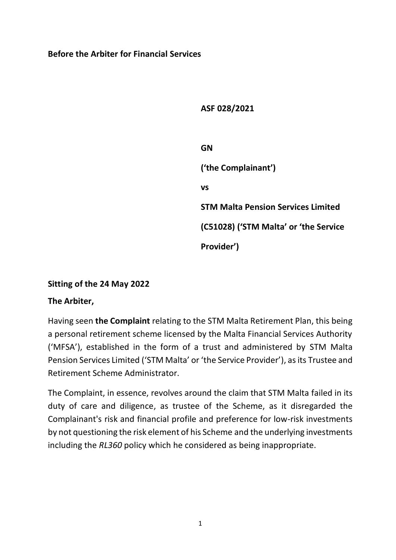### **Before the Arbiter for Financial Services**

**ASF 028/2021**

**GN ('the Complainant') vs STM Malta Pension Services Limited (C51028) ('STM Malta' or 'the Service Provider')**

## **Sitting of the 24 May 2022**

### **The Arbiter,**

Having seen **the Complaint** relating to the STM Malta Retirement Plan, this being a personal retirement scheme licensed by the Malta Financial Services Authority ('MFSA'), established in the form of a trust and administered by STM Malta Pension Services Limited ('STM Malta' or 'the Service Provider'), as its Trustee and Retirement Scheme Administrator.

The Complaint, in essence, revolves around the claim that STM Malta failed in its duty of care and diligence, as trustee of the Scheme, as it disregarded the Complainant's risk and financial profile and preference for low-risk investments by not questioning the risk element of his Scheme and the underlying investments including the *RL360* policy which he considered as being inappropriate.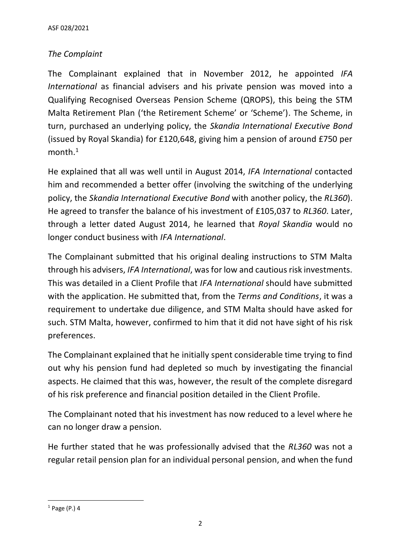## *The Complaint*

The Complainant explained that in November 2012, he appointed *IFA International* as financial advisers and his private pension was moved into a Qualifying Recognised Overseas Pension Scheme (QROPS), this being the STM Malta Retirement Plan ('the Retirement Scheme' or 'Scheme'). The Scheme, in turn, purchased an underlying policy, the *Skandia International Executive Bond* (issued by Royal Skandia) for £120,648, giving him a pension of around £750 per  $month.<sup>1</sup>$ 

He explained that all was well until in August 2014, *IFA International* contacted him and recommended a better offer (involving the switching of the underlying policy, the *Skandia International Executive Bond* with another policy, the *RL360*). He agreed to transfer the balance of his investment of £105,037 to *RL360*. Later, through a letter dated August 2014, he learned that *Royal Skandia* would no longer conduct business with *IFA International*.

The Complainant submitted that his original dealing instructions to STM Malta through his advisers, *IFA International*, was for low and cautious risk investments. This was detailed in a Client Profile that *IFA International* should have submitted with the application. He submitted that, from the *Terms and Conditions*, it was a requirement to undertake due diligence, and STM Malta should have asked for such. STM Malta, however, confirmed to him that it did not have sight of his risk preferences.

The Complainant explained that he initially spent considerable time trying to find out why his pension fund had depleted so much by investigating the financial aspects. He claimed that this was, however, the result of the complete disregard of his risk preference and financial position detailed in the Client Profile.

The Complainant noted that his investment has now reduced to a level where he can no longer draw a pension.

He further stated that he was professionally advised that the *RL360* was not a regular retail pension plan for an individual personal pension, and when the fund

 $1$  Page (P.) 4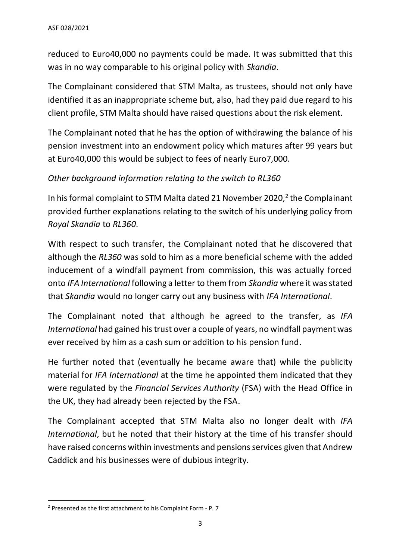reduced to Euro40,000 no payments could be made. It was submitted that this was in no way comparable to his original policy with *Skandia*.

The Complainant considered that STM Malta, as trustees, should not only have identified it as an inappropriate scheme but, also, had they paid due regard to his client profile, STM Malta should have raised questions about the risk element.

The Complainant noted that he has the option of withdrawing the balance of his pension investment into an endowment policy which matures after 99 years but at Euro40,000 this would be subject to fees of nearly Euro7,000.

## *Other background information relating to the switch to RL360*

In his formal complaint to STM Malta dated 21 November 2020, $2$  the Complainant provided further explanations relating to the switch of his underlying policy from *Royal Skandia* to *RL360*.

With respect to such transfer, the Complainant noted that he discovered that although the *RL360* was sold to him as a more beneficial scheme with the added inducement of a windfall payment from commission, this was actually forced onto *IFA International* following a letter to them from *Skandia* where it was stated that *Skandia* would no longer carry out any business with *IFA International*.

The Complainant noted that although he agreed to the transfer, as *IFA International* had gained his trust over a couple of years, no windfall payment was ever received by him as a cash sum or addition to his pension fund.

He further noted that (eventually he became aware that) while the publicity material for *IFA International* at the time he appointed them indicated that they were regulated by the *Financial Services Authority* (FSA) with the Head Office in the UK, they had already been rejected by the FSA.

The Complainant accepted that STM Malta also no longer dealt with *IFA International*, but he noted that their history at the time of his transfer should have raised concerns within investments and pensions services given that Andrew Caddick and his businesses were of dubious integrity.

<sup>2</sup> Presented as the first attachment to his Complaint Form - P. 7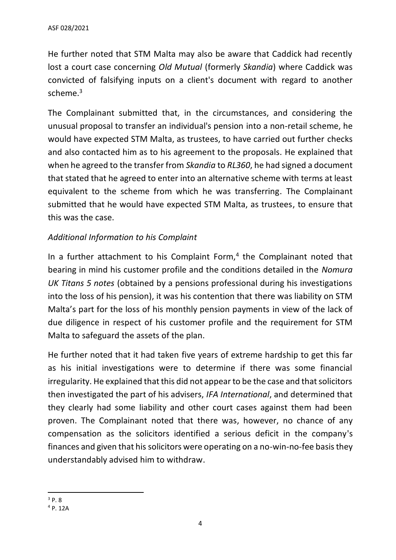He further noted that STM Malta may also be aware that Caddick had recently lost a court case concerning *Old Mutual* (formerly *Skandia*) where Caddick was convicted of falsifying inputs on a client's document with regard to another scheme.<sup>3</sup>

The Complainant submitted that, in the circumstances, and considering the unusual proposal to transfer an individual's pension into a non-retail scheme, he would have expected STM Malta, as trustees, to have carried out further checks and also contacted him as to his agreement to the proposals. He explained that when he agreed to the transfer from *Skandia* to *RL360*, he had signed a document that stated that he agreed to enter into an alternative scheme with terms at least equivalent to the scheme from which he was transferring. The Complainant submitted that he would have expected STM Malta, as trustees, to ensure that this was the case.

## *Additional Information to his Complaint*

In a further attachment to his Complaint Form,<sup>4</sup> the Complainant noted that bearing in mind his customer profile and the conditions detailed in the *Nomura UK Titans 5 notes* (obtained by a pensions professional during his investigations into the loss of his pension), it was his contention that there was liability on STM Malta's part for the loss of his monthly pension payments in view of the lack of due diligence in respect of his customer profile and the requirement for STM Malta to safeguard the assets of the plan.

He further noted that it had taken five years of extreme hardship to get this far as his initial investigations were to determine if there was some financial irregularity. He explained that this did not appear to be the case and that solicitors then investigated the part of his advisers, *IFA International*, and determined that they clearly had some liability and other court cases against them had been proven. The Complainant noted that there was, however, no chance of any compensation as the solicitors identified a serious deficit in the company's finances and given that his solicitors were operating on a no-win-no-fee basis they understandably advised him to withdraw.

 $3pR$ 

<sup>4</sup> P. 12A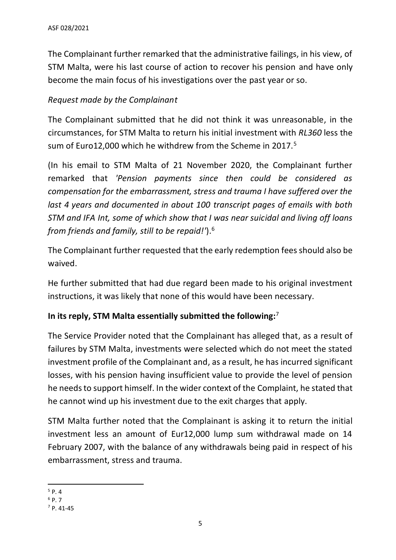The Complainant further remarked that the administrative failings, in his view, of STM Malta, were his last course of action to recover his pension and have only become the main focus of his investigations over the past year or so.

## *Request made by the Complainant*

The Complainant submitted that he did not think it was unreasonable, in the circumstances, for STM Malta to return his initial investment with *RL360* less the sum of Euro12,000 which he withdrew from the Scheme in 2017.<sup>5</sup>

(In his email to STM Malta of 21 November 2020, the Complainant further remarked that *'Pension payments since then could be considered as compensation for the embarrassment, stress and trauma I have suffered over the last 4 years and documented in about 100 transcript pages of emails with both STM and IFA Int, some of which show that I was near suicidal and living off loans from friends and family, still to be repaid!'*). 6

The Complainant further requested that the early redemption fees should also be waived.

He further submitted that had due regard been made to his original investment instructions, it was likely that none of this would have been necessary.

## **In its reply, STM Malta essentially submitted the following:** 7

The Service Provider noted that the Complainant has alleged that, as a result of failures by STM Malta, investments were selected which do not meet the stated investment profile of the Complainant and, as a result, he has incurred significant losses, with his pension having insufficient value to provide the level of pension he needs to support himself. In the wider context of the Complaint, he stated that he cannot wind up his investment due to the exit charges that apply.

STM Malta further noted that the Complainant is asking it to return the initial investment less an amount of Eur12,000 lump sum withdrawal made on 14 February 2007, with the balance of any withdrawals being paid in respect of his embarrassment, stress and trauma.

 $5$  P. 4  $6$  P. 7

<sup>7</sup> P. 41-45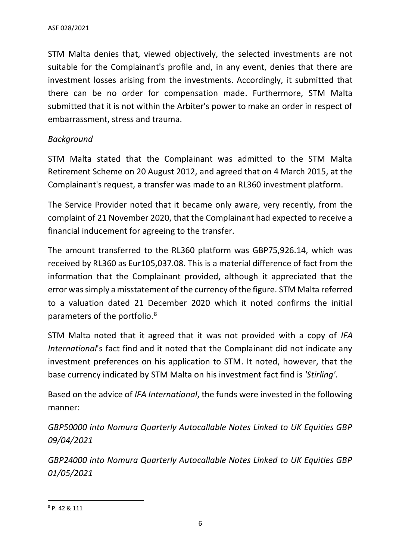STM Malta denies that, viewed objectively, the selected investments are not suitable for the Complainant's profile and, in any event, denies that there are investment losses arising from the investments. Accordingly, it submitted that there can be no order for compensation made. Furthermore, STM Malta submitted that it is not within the Arbiter's power to make an order in respect of embarrassment, stress and trauma.

#### *Background*

STM Malta stated that the Complainant was admitted to the STM Malta Retirement Scheme on 20 August 2012, and agreed that on 4 March 2015, at the Complainant's request, a transfer was made to an RL360 investment platform.

The Service Provider noted that it became only aware, very recently, from the complaint of 21 November 2020, that the Complainant had expected to receive a financial inducement for agreeing to the transfer.

The amount transferred to the RL360 platform was GBP75,926.14, which was received by RL360 as Eur105,037.08. This is a material difference of fact from the information that the Complainant provided, although it appreciated that the error was simply a misstatement of the currency of the figure. STM Malta referred to a valuation dated 21 December 2020 which it noted confirms the initial parameters of the portfolio.<sup>8</sup>

STM Malta noted that it agreed that it was not provided with a copy of *IFA International*'s fact find and it noted that the Complainant did not indicate any investment preferences on his application to STM. It noted, however, that the base currency indicated by STM Malta on his investment fact find is *'Stirling'*.

Based on the advice of *IFA International*, the funds were invested in the following manner:

*GBP50000 into Nomura Quarterly Autocallable Notes Linked to UK Equities GBP 09/04/2021*

*GBP24000 into Nomura Quarterly Autocallable Notes Linked to UK Equities GBP 01/05/2021*

<sup>8</sup> P. 42 & 111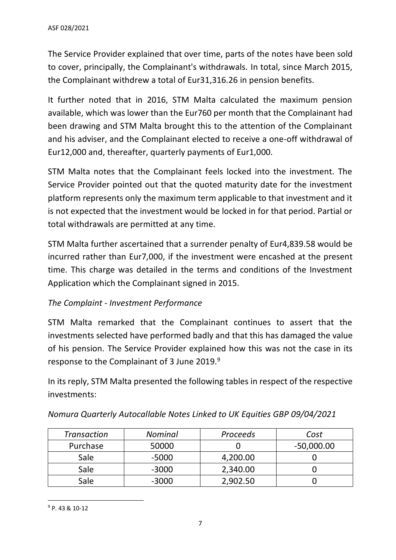The Service Provider explained that over time, parts of the notes have been sold to cover, principally, the Complainant's withdrawals. In total, since March 2015, the Complainant withdrew a total of Eur31,316.26 in pension benefits.

It further noted that in 2016, STM Malta calculated the maximum pension available, which was lower than the Eur760 per month that the Complainant had been drawing and STM Malta brought this to the attention of the Complainant and his adviser, and the Complainant elected to receive a one-off withdrawal of Eur12,000 and, thereafter, quarterly payments of Eur1,000.

STM Malta notes that the Complainant feels locked into the investment. The Service Provider pointed out that the quoted maturity date for the investment platform represents only the maximum term applicable to that investment and it is not expected that the investment would be locked in for that period. Partial or total withdrawals are permitted at any time.

STM Malta further ascertained that a surrender penalty of Eur4,839.58 would be incurred rather than Eur7,000, if the investment were encashed at the present time. This charge was detailed in the terms and conditions of the Investment Application which the Complainant signed in 2015.

### *The Complaint - Investment Performance*

STM Malta remarked that the Complainant continues to assert that the investments selected have performed badly and that this has damaged the value of his pension. The Service Provider explained how this was not the case in its response to the Complainant of 3 June 2019.<sup>9</sup>

In its reply, STM Malta presented the following tables in respect of the respective investments:

| <b>Transaction</b> | <b>Nominal</b> | Proceeds | Cost         |  |
|--------------------|----------------|----------|--------------|--|
| Purchase           | 50000          |          | $-50,000.00$ |  |
| <b>Sale</b>        | $-5000$        | 4,200.00 |              |  |
| Sale               | $-3000$        | 2,340.00 |              |  |
| Sale               | $-3000$        | 2,902.50 |              |  |

*Nomura Quarterly Autocallable Notes Linked to UK Equities GBP 09/04/2021*

<sup>9</sup> P. 43 & 10-12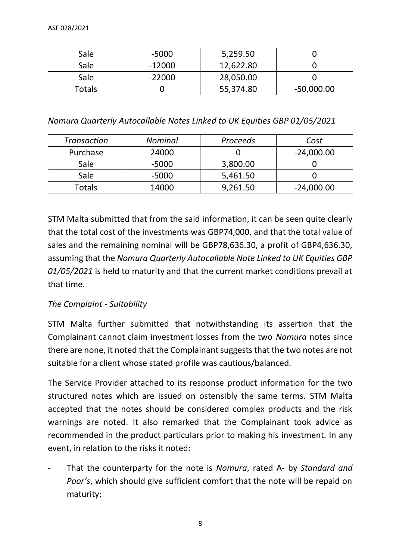| Sale   | $-5000$  | 5,259.50  |              |
|--------|----------|-----------|--------------|
| Sale   | $-12000$ | 12,622.80 |              |
| Sale   | $-22000$ | 28,050.00 |              |
| Totals |          | 55,374.80 | $-50,000.00$ |

*Nomura Quarterly Autocallable Notes Linked to UK Equities GBP 01/05/2021*

| <b>Transaction</b> | <b>Nominal</b> | Proceeds | Cost         |  |
|--------------------|----------------|----------|--------------|--|
| Purchase           | 24000          |          | $-24,000.00$ |  |
| <b>Sale</b>        | $-5000$        | 3,800.00 |              |  |
| Sale               | $-5000$        | 5,461.50 |              |  |
| Totals             | 14000          | 9,261.50 | $-24,000.00$ |  |

STM Malta submitted that from the said information, it can be seen quite clearly that the total cost of the investments was GBP74,000, and that the total value of sales and the remaining nominal will be GBP78,636.30, a profit of GBP4,636.30, assuming that the *Nomura Quarterly Autocallable Note Linked to UK Equities GBP 01/05/2021* is held to maturity and that the current market conditions prevail at that time.

### *The Complaint - Suitability*

STM Malta further submitted that notwithstanding its assertion that the Complainant cannot claim investment losses from the two *Nomura* notes since there are none, it noted that the Complainant suggests that the two notes are not suitable for a client whose stated profile was cautious/balanced.

The Service Provider attached to its response product information for the two structured notes which are issued on ostensibly the same terms. STM Malta accepted that the notes should be considered complex products and the risk warnings are noted. It also remarked that the Complainant took advice as recommended in the product particulars prior to making his investment. In any event, in relation to the risks it noted:

- That the counterparty for the note is *Nomura*, rated A- by *Standard and Poor's*, which should give sufficient comfort that the note will be repaid on maturity;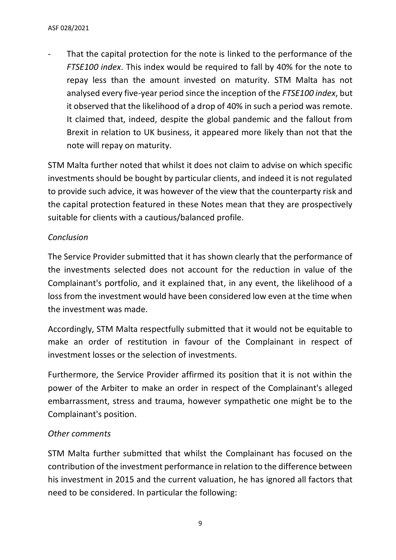That the capital protection for the note is linked to the performance of the *FTSE100 index*. This index would be required to fall by 40% for the note to repay less than the amount invested on maturity. STM Malta has not analysed every five-year period since the inception of the *FTSE100 index*, but it observed that the likelihood of a drop of 40% in such a period was remote. It claimed that, indeed, despite the global pandemic and the fallout from Brexit in relation to UK business, it appeared more likely than not that the note will repay on maturity.

STM Malta further noted that whilst it does not claim to advise on which specific investments should be bought by particular clients, and indeed it is not regulated to provide such advice, it was however of the view that the counterparty risk and the capital protection featured in these Notes mean that they are prospectively suitable for clients with a cautious/balanced profile.

## *Conclusion*

The Service Provider submitted that it has shown clearly that the performance of the investments selected does not account for the reduction in value of the Complainant's portfolio, and it explained that, in any event, the likelihood of a loss from the investment would have been considered low even at the time when the investment was made.

Accordingly, STM Malta respectfully submitted that it would not be equitable to make an order of restitution in favour of the Complainant in respect of investment losses or the selection of investments.

Furthermore, the Service Provider affirmed its position that it is not within the power of the Arbiter to make an order in respect of the Complainant's alleged embarrassment, stress and trauma, however sympathetic one might be to the Complainant's position.

### *Other comments*

STM Malta further submitted that whilst the Complainant has focused on the contribution of the investment performance in relation to the difference between his investment in 2015 and the current valuation, he has ignored all factors that need to be considered. In particular the following: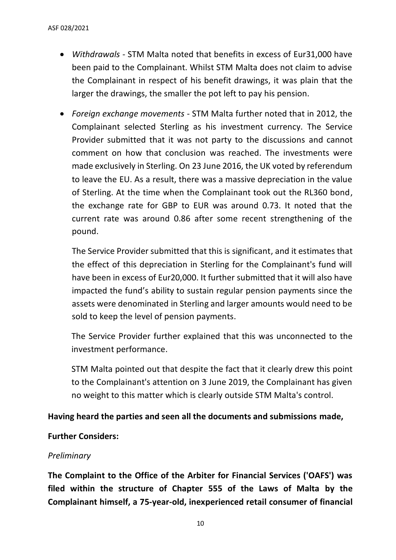- *Withdrawals* STM Malta noted that benefits in excess of Eur31,000 have been paid to the Complainant. Whilst STM Malta does not claim to advise the Complainant in respect of his benefit drawings, it was plain that the larger the drawings, the smaller the pot left to pay his pension.
- *Foreign exchange movements* STM Malta further noted that in 2012, the Complainant selected Sterling as his investment currency. The Service Provider submitted that it was not party to the discussions and cannot comment on how that conclusion was reached. The investments were made exclusively in Sterling. On 23 June 2016, the UK voted by referendum to leave the EU. As a result, there was a massive depreciation in the value of Sterling. At the time when the Complainant took out the RL360 bond, the exchange rate for GBP to EUR was around 0.73. It noted that the current rate was around 0.86 after some recent strengthening of the pound.

The Service Provider submitted that this is significant, and it estimates that the effect of this depreciation in Sterling for the Complainant's fund will have been in excess of Eur20,000. It further submitted that it will also have impacted the fund's ability to sustain regular pension payments since the assets were denominated in Sterling and larger amounts would need to be sold to keep the level of pension payments.

The Service Provider further explained that this was unconnected to the investment performance.

STM Malta pointed out that despite the fact that it clearly drew this point to the Complainant's attention on 3 June 2019, the Complainant has given no weight to this matter which is clearly outside STM Malta's control.

#### **Having heard the parties and seen all the documents and submissions made,**

#### **Further Considers:**

#### *Preliminary*

**The Complaint to the Office of the Arbiter for Financial Services ('OAFS') was filed within the structure of Chapter 555 of the Laws of Malta by the Complainant himself, a 75-year-old, inexperienced retail consumer of financial**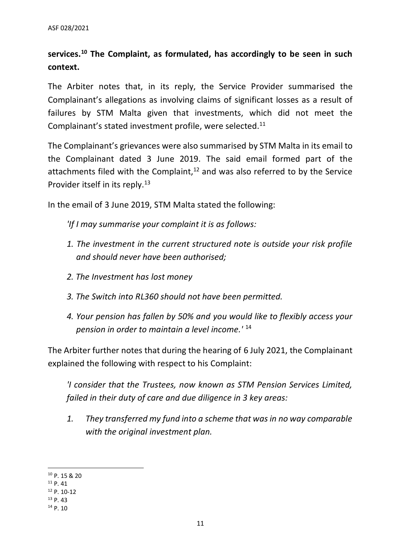# **services. <sup>10</sup> The Complaint, as formulated, has accordingly to be seen in such context.**

The Arbiter notes that, in its reply, the Service Provider summarised the Complainant's allegations as involving claims of significant losses as a result of failures by STM Malta given that investments, which did not meet the Complainant's stated investment profile, were selected. 11

The Complainant's grievances were also summarised by STM Malta in its email to the Complainant dated 3 June 2019. The said email formed part of the attachments filed with the Complaint, $12$  and was also referred to by the Service Provider itself in its reply. 13

In the email of 3 June 2019, STM Malta stated the following:

*'If I may summarise your complaint it is as follows:*

- *1. The investment in the current structured note is outside your risk profile and should never have been authorised;*
- *2. The Investment has lost money*
- *3. The Switch into RL360 should not have been permitted.*
- *4. Your pension has fallen by 50% and you would like to flexibly access your pension in order to maintain a level income.'* <sup>14</sup>

The Arbiter further notes that during the hearing of 6 July 2021, the Complainant explained the following with respect to his Complaint:

*'I consider that the Trustees, now known as STM Pension Services Limited, failed in their duty of care and due diligence in 3 key areas:*

*1. They transferred my fund into a scheme that was in no way comparable with the original investment plan.*

<sup>13</sup> P. 43

<sup>10</sup> P. 15 & 20

<sup>11</sup> P. 41

<sup>12</sup> P. 10-12

 $14$  P. 10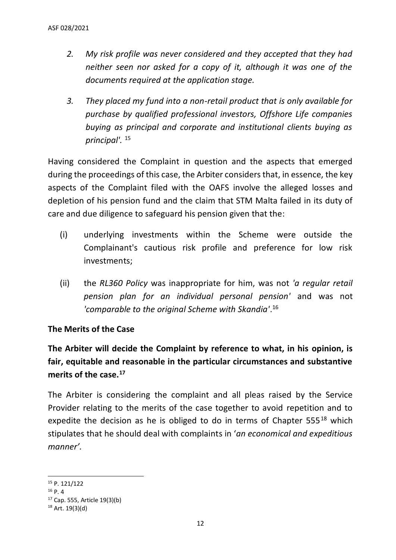- *2. My risk profile was never considered and they accepted that they had neither seen nor asked for a copy of it, although it was one of the documents required at the application stage.*
- *3. They placed my fund into a non-retail product that is only available for purchase by qualified professional investors, Offshore Life companies buying as principal and corporate and institutional clients buying as principal'.* <sup>15</sup>

Having considered the Complaint in question and the aspects that emerged during the proceedings of this case, the Arbiter considers that, in essence, the key aspects of the Complaint filed with the OAFS involve the alleged losses and depletion of his pension fund and the claim that STM Malta failed in its duty of care and due diligence to safeguard his pension given that the:

- (i) underlying investments within the Scheme were outside the Complainant's cautious risk profile and preference for low risk investments;
- (ii) the *RL360 Policy* was inappropriate for him, was not *'a regular retail pension plan for an individual personal pension'* and was not *'comparable to the original Scheme with Skandia'*. 16

### **The Merits of the Case**

**The Arbiter will decide the Complaint by reference to what, in his opinion, is fair, equitable and reasonable in the particular circumstances and substantive merits of the case.<sup>17</sup>**

The Arbiter is considering the complaint and all pleas raised by the Service Provider relating to the merits of the case together to avoid repetition and to expedite the decision as he is obliged to do in terms of Chapter  $555^{18}$  which stipulates that he should deal with complaints in '*an economical and expeditious manner'.*

<sup>15</sup> P. 121/122

 $16$  P. 4

<sup>17</sup> Cap. 555, Article 19(3)(b)

 $18$  Art. 19(3)(d)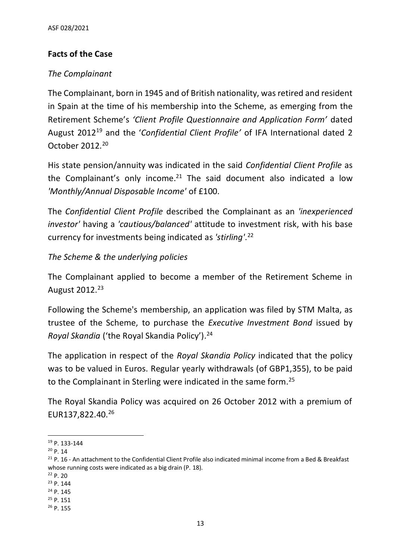## **Facts of the Case**

## *The Complainant*

The Complainant, born in 1945 and of British nationality, was retired and resident in Spain at the time of his membership into the Scheme, as emerging from the Retirement Scheme's *'Client Profile Questionnaire and Application Form'* dated August 2012<sup>19</sup> and the '*Confidential Client Profile'* of IFA International dated 2 October 2012.<sup>20</sup>

His state pension/annuity was indicated in the said *Confidential Client Profile* as the Complainant's only income.<sup>21</sup> The said document also indicated a low *'Monthly/Annual Disposable Income'* of £100.

The *Confidential Client Profile* described the Complainant as an *'inexperienced investor'* having a *'cautious/balanced'* attitude to investment risk, with his base currency for investments being indicated as *'stirling'*. 22

### *The Scheme & the underlying policies*

The Complainant applied to become a member of the Retirement Scheme in August 2012.<sup>23</sup>

Following the Scheme's membership, an application was filed by STM Malta, as trustee of the Scheme, to purchase the *Executive Investment Bond* issued by *Royal Skandia* ('the Royal Skandia Policy'). 24

The application in respect of the *Royal Skandia Policy* indicated that the policy was to be valued in Euros. Regular yearly withdrawals (of GBP1,355), to be paid to the Complainant in Sterling were indicated in the same form.<sup>25</sup>

The Royal Skandia Policy was acquired on 26 October 2012 with a premium of EUR137,822.40.<sup>26</sup>

<sup>19</sup> P. 133-144

<sup>20</sup> P. 14

 $21$  P. 16 - An attachment to the Confidential Client Profile also indicated minimal income from a Bed & Breakfast whose running costs were indicated as a big drain (P. 18).

<sup>22</sup> P. 20

<sup>23</sup> P. 144

<sup>24</sup> P. 145

 $25$  P. 151

<sup>26</sup> P. 155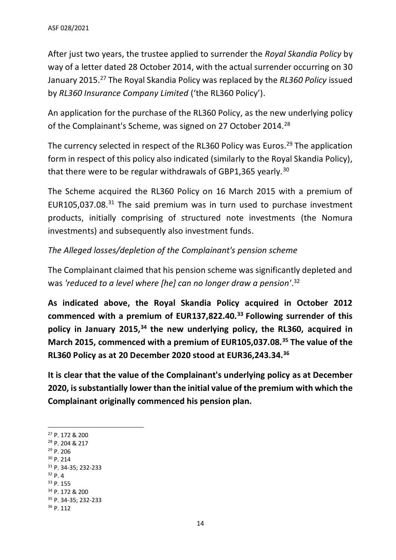After just two years, the trustee applied to surrender the *Royal Skandia Policy* by way of a letter dated 28 October 2014, with the actual surrender occurring on 30 January 2015. <sup>27</sup> The Royal Skandia Policy was replaced by the *RL360 Policy* issued by *RL360 Insurance Company Limited* ('the RL360 Policy').

An application for the purchase of the RL360 Policy, as the new underlying policy of the Complainant's Scheme, was signed on 27 October 2014.<sup>28</sup>

The currency selected in respect of the RL360 Policy was Euros.<sup>29</sup> The application form in respect of this policy also indicated (similarly to the Royal Skandia Policy), that there were to be regular withdrawals of GBP1,365 yearly.<sup>30</sup>

The Scheme acquired the RL360 Policy on 16 March 2015 with a premium of EUR105,037.08. $31$  The said premium was in turn used to purchase investment products, initially comprising of structured note investments (the Nomura investments) and subsequently also investment funds.

*The Alleged losses/depletion of the Complainant's pension scheme*

The Complainant claimed that his pension scheme was significantly depleted and was *'reduced to a level where [he] can no longer draw a pension'*. 32

**As indicated above, the Royal Skandia Policy acquired in October 2012 commenced with a premium of EUR137,822.40.<sup>33</sup> Following surrender of this policy in January 2015,<sup>34</sup> the new underlying policy, the RL360, acquired in March 2015, commenced with a premium of EUR105,037.08.<sup>35</sup> The value of the RL360 Policy as at 20 December 2020 stood at EUR36,243.34.<sup>36</sup>**

**It is clear that the value of the Complainant's underlying policy as at December 2020, is substantially lower than the initial value of the premium with which the Complainant originally commenced his pension plan.**

<sup>27</sup> P. 172 & 200 <sup>28</sup> P. 204 & 217 <sup>29</sup> P. 206 <sup>30</sup> P. 214 <sup>31</sup> P. 34-35; 232-233  $32 p. 4$ <sup>33</sup> P. 155 <sup>34</sup> P. 172 & 200 <sup>35</sup> P. 34-35; 232-233 <sup>36</sup> P. 112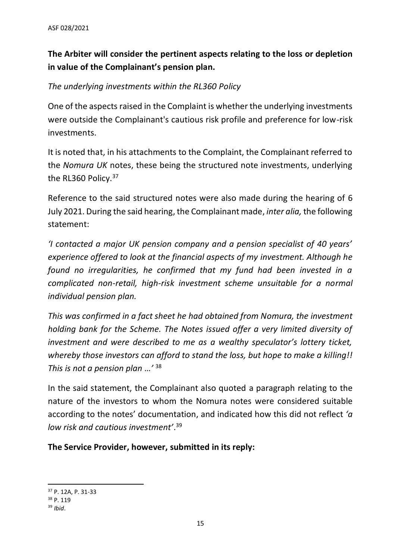# **The Arbiter will consider the pertinent aspects relating to the loss or depletion in value of the Complainant's pension plan.**

## *The underlying investments within the RL360 Policy*

One of the aspects raised in the Complaint is whether the underlying investments were outside the Complainant's cautious risk profile and preference for low-risk investments.

It is noted that, in his attachments to the Complaint, the Complainant referred to the *Nomura UK* notes, these being the structured note investments, underlying the RL360 Policy.<sup>37</sup>

Reference to the said structured notes were also made during the hearing of 6 July 2021. During the said hearing, the Complainant made, *inter alia,* the following statement:

*'I contacted a major UK pension company and a pension specialist of 40 years' experience offered to look at the financial aspects of my investment. Although he found no irregularities, he confirmed that my fund had been invested in a complicated non-retail, high-risk investment scheme unsuitable for a normal individual pension plan.*

*This was confirmed in a fact sheet he had obtained from Nomura, the investment holding bank for the Scheme. The Notes issued offer a very limited diversity of investment and were described to me as a wealthy speculator's lottery ticket, whereby those investors can afford to stand the loss, but hope to make a killing!! This is not a pension plan …'* <sup>38</sup>

In the said statement, the Complainant also quoted a paragraph relating to the nature of the investors to whom the Nomura notes were considered suitable according to the notes' documentation, and indicated how this did not reflect *'a low risk and cautious investment'*. 39

**The Service Provider, however, submitted in its reply:**

<sup>37</sup> P. 12A, P. 31-33

<sup>38</sup> P. 119

<sup>39</sup> *Ibid*.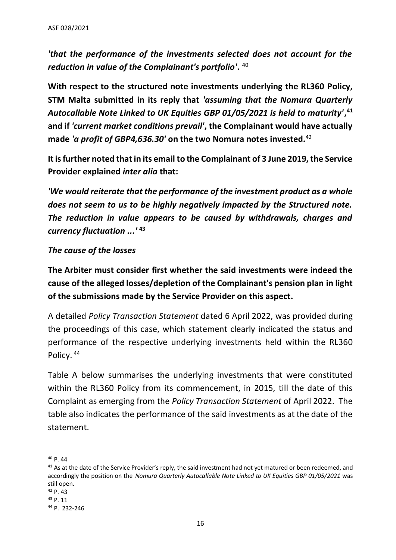*'that the performance of the investments selected does not account for the reduction in value of the Complainant's portfolio'***.** 40

**With respect to the structured note investments underlying the RL360 Policy, STM Malta submitted in its reply that** *'assuming that the Nomura Quarterly Autocallable Note Linked to UK Equities GBP 01/05/2021 is held to maturity'***, 41 and if** *'current market conditions prevail'***, the Complainant would have actually made** *'a profit of GBP4,636.30'* **on the two Nomura notes invested.** 42

**It is further noted that in its email to the Complainant of 3 June 2019, the Service Provider explained** *inter alia* **that:**

*'We would reiterate that the performance of the investment product as a whole does not seem to us to be highly negatively impacted by the Structured note. The reduction in value appears to be caused by withdrawals, charges and currency fluctuation ...'* **<sup>43</sup>**

#### *The cause of the losses*

**The Arbiter must consider first whether the said investments were indeed the cause of the alleged losses/depletion of the Complainant's pension plan in light of the submissions made by the Service Provider on this aspect.** 

A detailed *Policy Transaction Statement* dated 6 April 2022, was provided during the proceedings of this case, which statement clearly indicated the status and performance of the respective underlying investments held within the RL360 Policy. 44

Table A below summarises the underlying investments that were constituted within the RL360 Policy from its commencement, in 2015, till the date of this Complaint as emerging from the *Policy Transaction Statement* of April 2022. The table also indicates the performance of the said investments as at the date of the statement.

<sup>40</sup> P. 44

<sup>&</sup>lt;sup>41</sup> As at the date of the Service Provider's reply, the said investment had not yet matured or been redeemed, and accordingly the position on the *Nomura Quarterly Autocallable Note Linked to UK Equities GBP 01/05/2021* was still open.

<sup>42</sup> P. 43

<sup>43</sup> P. 11

<sup>44</sup> P. 232-246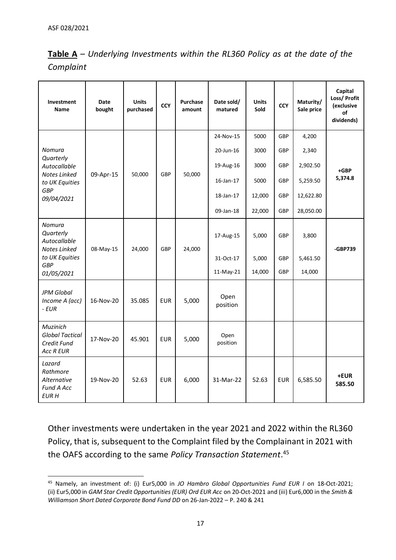| <b>Table A</b> – Underlying Investments within the RL360 Policy as at the date of the |  |  |
|---------------------------------------------------------------------------------------|--|--|
| Complaint                                                                             |  |  |

| Investment<br><b>Name</b>                                             | Date<br>bought | <b>Units</b><br>purchased | <b>CCY</b> | <b>Purchase</b><br>amount | Date sold/<br>matured | <b>Units</b><br>Sold | <b>CCY</b> | Maturity/<br>Sale price | Capital<br>Loss/ Profit<br>(exclusive<br>οf<br>dividends) |
|-----------------------------------------------------------------------|----------------|---------------------------|------------|---------------------------|-----------------------|----------------------|------------|-------------------------|-----------------------------------------------------------|
|                                                                       |                |                           |            |                           | 24-Nov-15             | 5000                 | GBP        | 4,200                   |                                                           |
| Nomura<br>Quarterly                                                   |                |                           |            |                           | 20-Jun-16             | 3000                 | GBP        | 2,340                   |                                                           |
| Autocallable                                                          |                |                           |            |                           | 19-Aug-16             | 3000                 | GBP        | 2,902.50                | $+GBP$                                                    |
| Notes Linked<br>to UK Equities                                        | 09-Apr-15      | 50,000                    | <b>GBP</b> | 50,000                    | 16-Jan-17             | 5000                 | GBP        | 5,259.50                | 5,374.8                                                   |
| <b>GBP</b><br>09/04/2021                                              |                |                           |            |                           | 18-Jan-17             | 12,000               | GBP        | 12,622.80               |                                                           |
|                                                                       |                |                           |            |                           | 09-Jan-18             | 22,000               | GBP        | 28,050.00               |                                                           |
| <b>Nomura</b><br>Quarterly<br>Autocallable<br>Notes Linked            | 08-May-15      | 24,000                    | <b>GBP</b> | 24,000                    | 17-Aug-15             | 5,000                | GBP        | 3,800                   | -GBP739                                                   |
| to UK Equities<br><b>GBP</b>                                          |                |                           |            |                           | 31-Oct-17             | 5,000                | GBP        | 5,461.50                |                                                           |
| 01/05/2021                                                            |                |                           |            |                           | 11-May-21             | 14,000               | GBP        | 14,000                  |                                                           |
| <b>JPM Global</b><br>Income A (acc)<br>$-EUR$                         | 16-Nov-20      | 35.085                    | <b>EUR</b> | 5,000                     | Open<br>position      |                      |            |                         |                                                           |
| Muzinich<br><b>Global Tactical</b><br>Credit Fund<br><b>Acc R EUR</b> | 17-Nov-20      | 45.901                    | <b>EUR</b> | 5,000                     | Open<br>position      |                      |            |                         |                                                           |
| Lazard<br>Rathmore<br>Alternative<br><b>Fund A Acc</b><br><b>EURH</b> | 19-Nov-20      | 52.63                     | <b>EUR</b> | 6,000                     | 31-Mar-22             | 52.63                | <b>EUR</b> | 6,585.50                | +EUR<br>585.50                                            |

Other investments were undertaken in the year 2021 and 2022 within the RL360 Policy, that is, subsequent to the Complaint filed by the Complainant in 2021 with the OAFS according to the same *Policy Transaction Statement*. 45

<sup>45</sup> Namely, an investment of: (i) Eur5,000 in *JO Hambro Global Opportunities Fund EUR I* on 18-Oct-2021; (ii) Eur5,000 in *GAM Star Credit Opportunities (EUR) Ord EUR Acc* on 20-Oct-2021 and (iii) Eur6,000 in the *Smith & Williamson Short Dated Corporate Bond Fund DD* on 26-Jan-2022 – P. 240 & 241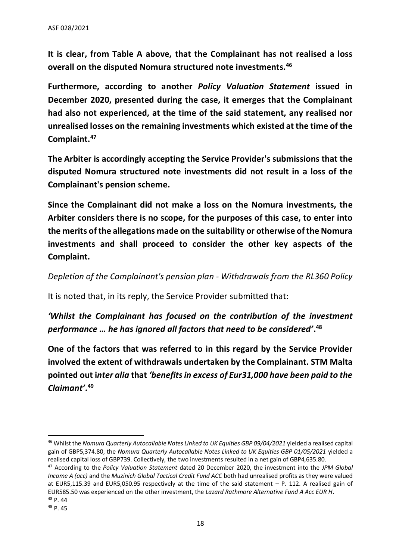**It is clear, from Table A above, that the Complainant has not realised a loss overall on the disputed Nomura structured note investments.<sup>46</sup>**

**Furthermore, according to another** *Policy Valuation Statement* **issued in December 2020, presented during the case, it emerges that the Complainant had also not experienced, at the time of the said statement, any realised nor unrealised losses on the remaining investments which existed at the time of the Complaint. 47**

**The Arbiter is accordingly accepting the Service Provider's submissions that the disputed Nomura structured note investments did not result in a loss of the Complainant's pension scheme.**

**Since the Complainant did not make a loss on the Nomura investments, the Arbiter considers there is no scope, for the purposes of this case, to enter into the merits ofthe allegations made on the suitability or otherwise of the Nomura investments and shall proceed to consider the other key aspects of the Complaint.**

*Depletion of the Complainant's pension plan - Withdrawals from the RL360 Policy*

It is noted that, in its reply, the Service Provider submitted that:

*'Whilst the Complainant has focused on the contribution of the investment performance … he has ignored all factors that need to be considered'***. 48**

**One of the factors that was referred to in this regard by the Service Provider involved the extent of withdrawals undertaken by the Complainant. STM Malta pointed out i***nter alia* **that** *'benefits in excess of Eur31,000 have been paid to the Claimant'***. 49**

<sup>46</sup> Whilst the *Nomura Quarterly Autocallable Notes Linked to UK Equities GBP 09/04/2021* yielded a realised capital gain of GBP5,374.80, the *Nomura Quarterly Autocallable Notes Linked to UK Equities GBP 01/05/2021* yielded a realised capital loss of GBP739. Collectively, the two investments resulted in a net gain of GBP4,635.80.

<sup>47</sup> According to the *Policy Valuation Statement* dated 20 December 2020, the investment into the *JPM Global Income A (acc)* and the *Muzinich Global Tactical Credit Fund ACC* both had unrealised profits as they were valued at EUR5,115.39 and EUR5,050.95 respectively at the time of the said statement – P. 112. A realised gain of EUR585.50 was experienced on the other investment, the *Lazard Rathmore Alternative Fund A Acc EUR H*. <sup>48</sup> P. 44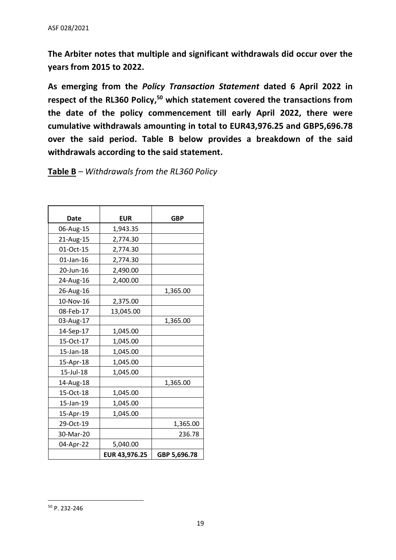**The Arbiter notes that multiple and significant withdrawals did occur over the years from 2015 to 2022.**

**As emerging from the** *Policy Transaction Statement* **dated 6 April 2022 in respect of the RL360 Policy, <sup>50</sup> which statement covered the transactions from the date of the policy commencement till early April 2022, there were cumulative withdrawals amounting in total to EUR43,976.25 and GBP5,696.78 over the said period. Table B below provides a breakdown of the said withdrawals according to the said statement.**

#### **Table B** *– Withdrawals from the RL360 Policy*

| Date      | <b>EUR</b>    | <b>GBP</b>   |
|-----------|---------------|--------------|
| 06-Aug-15 | 1,943.35      |              |
| 21-Aug-15 | 2,774.30      |              |
| 01-Oct-15 | 2,774.30      |              |
| 01-Jan-16 | 2,774.30      |              |
| 20-Jun-16 | 2,490.00      |              |
| 24-Aug-16 | 2,400.00      |              |
| 26-Aug-16 |               | 1,365.00     |
| 10-Nov-16 | 2,375.00      |              |
| 08-Feb-17 | 13,045.00     |              |
| 03-Aug-17 |               | 1,365.00     |
| 14-Sep-17 | 1,045.00      |              |
| 15-Oct-17 | 1,045.00      |              |
| 15-Jan-18 | 1,045.00      |              |
| 15-Apr-18 | 1,045.00      |              |
| 15-Jul-18 | 1,045.00      |              |
| 14-Aug-18 |               | 1,365.00     |
| 15-Oct-18 | 1,045.00      |              |
| 15-Jan-19 | 1,045.00      |              |
| 15-Apr-19 | 1,045.00      |              |
| 29-Oct-19 |               | 1,365.00     |
| 30-Mar-20 |               | 236.78       |
| 04-Apr-22 | 5,040.00      |              |
|           | EUR 43,976.25 | GBP 5,696.78 |

<sup>50</sup> P. 232-246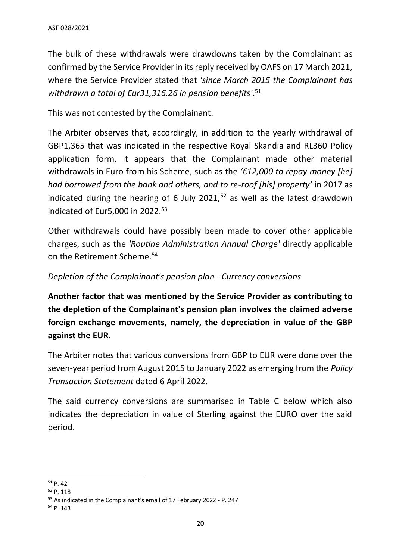The bulk of these withdrawals were drawdowns taken by the Complainant as confirmed by the Service Provider in its reply received by OAFS on 17 March 2021, where the Service Provider stated that *'since March 2015 the Complainant has withdrawn a total of Eur31,316.26 in pension benefits'*. 51

This was not contested by the Complainant.

The Arbiter observes that, accordingly, in addition to the yearly withdrawal of GBP1,365 that was indicated in the respective Royal Skandia and RL360 Policy application form, it appears that the Complainant made other material withdrawals in Euro from his Scheme, such as the *'€12,000 to repay money [he] had borrowed from the bank and others, and to re-roof [his] property'* in 2017 as indicated during the hearing of 6 July 2021, $52$  as well as the latest drawdown indicated of Eur5,000 in 2022. 53

Other withdrawals could have possibly been made to cover other applicable charges, such as the *'Routine Administration Annual Charge'* directly applicable on the Retirement Scheme.<sup>54</sup>

#### *Depletion of the Complainant's pension plan - Currency conversions*

**Another factor that was mentioned by the Service Provider as contributing to the depletion of the Complainant's pension plan involves the claimed adverse foreign exchange movements, namely, the depreciation in value of the GBP against the EUR.**

The Arbiter notes that various conversions from GBP to EUR were done over the seven-year period from August 2015 to January 2022 as emerging from the *Policy Transaction Statement* dated 6 April 2022.

The said currency conversions are summarised in Table C below which also indicates the depreciation in value of Sterling against the EURO over the said period.

<sup>51</sup> P. 42

<sup>52</sup> P. 118

<sup>53</sup> As indicated in the Complainant's email of 17 February 2022 - P. 247

<sup>54</sup> P. 143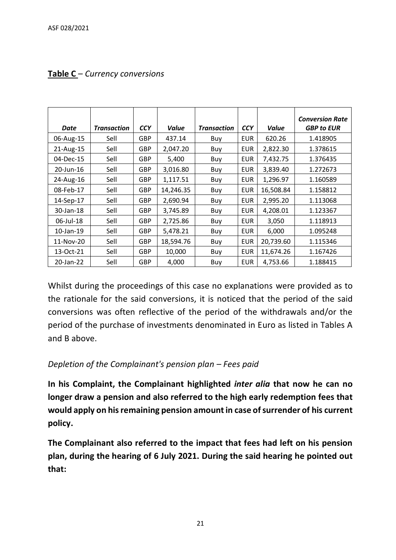| <b>Date</b> | <b>Transaction</b> | <b>CCY</b> | Value     | <b>Transaction</b> | <b>CCY</b> | Value     | <b>Conversion Rate</b><br><b>GBP to EUR</b> |
|-------------|--------------------|------------|-----------|--------------------|------------|-----------|---------------------------------------------|
| 06-Aug-15   | Sell               | <b>GBP</b> | 437.14    | Buy                | <b>EUR</b> | 620.26    | 1.418905                                    |
| 21-Aug-15   | Sell               | <b>GBP</b> | 2,047.20  | Buy                | <b>EUR</b> | 2,822.30  | 1.378615                                    |
| 04-Dec-15   | Sell               | <b>GBP</b> | 5,400     | Buy                | <b>EUR</b> | 7,432.75  | 1.376435                                    |
| 20-Jun-16   | Sell               | <b>GBP</b> | 3,016.80  | Buy                | EUR        | 3,839.40  | 1.272673                                    |
| 24-Aug-16   | Sell               | <b>GBP</b> | 1,117.51  | Buy                | <b>EUR</b> | 1,296.97  | 1.160589                                    |
| 08-Feb-17   | Sell               | <b>GBP</b> | 14,246.35 | Buy                | <b>EUR</b> | 16,508.84 | 1.158812                                    |
| 14-Sep-17   | Sell               | <b>GBP</b> | 2,690.94  | Buy                | EUR        | 2,995.20  | 1.113068                                    |
| 30-Jan-18   | Sell               | <b>GBP</b> | 3,745.89  | Buy                | <b>EUR</b> | 4,208.01  | 1.123367                                    |
| 06-Jul-18   | Sell               | <b>GBP</b> | 2,725.86  | Buy                | <b>EUR</b> | 3,050     | 1.118913                                    |
| 10-Jan-19   | Sell               | <b>GBP</b> | 5,478.21  | Buy                | <b>EUR</b> | 6,000     | 1.095248                                    |
| 11-Nov-20   | Sell               | <b>GBP</b> | 18,594.76 | Buy                | <b>EUR</b> | 20,739.60 | 1.115346                                    |
| 13-Oct-21   | Sell               | <b>GBP</b> | 10,000    | Buy                | <b>EUR</b> | 11,674.26 | 1.167426                                    |
| 20-Jan-22   | Sell               | <b>GBP</b> | 4,000     | Buy                | <b>EUR</b> | 4,753.66  | 1.188415                                    |

## **Table C** *– Currency conversions*

Whilst during the proceedings of this case no explanations were provided as to the rationale for the said conversions, it is noticed that the period of the said conversions was often reflective of the period of the withdrawals and/or the period of the purchase of investments denominated in Euro as listed in Tables A and B above.

## *Depletion of the Complainant's pension plan – Fees paid*

**In his Complaint, the Complainant highlighted** *inter alia* **that now he can no longer draw a pension and also referred to the high early redemption fees that would apply on his remaining pension amount in case of surrender of his current policy.** 

**The Complainant also referred to the impact that fees had left on his pension plan, during the hearing of 6 July 2021. During the said hearing he pointed out that:**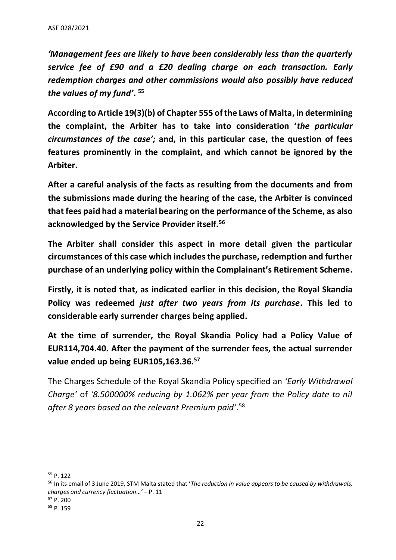*'Management fees are likely to have been considerably less than the quarterly service fee of £90 and a £20 dealing charge on each transaction. Early redemption charges and other commissions would also possibly have reduced the values of my fund'***. 55**

**According to Article 19(3)(b) of Chapter 555 of the Laws of Malta, in determining the complaint, the Arbiter has to take into consideration '***the particular circumstances of the case';* **and, in this particular case, the question of fees features prominently in the complaint, and which cannot be ignored by the Arbiter.**

**After a careful analysis of the facts as resulting from the documents and from the submissions made during the hearing of the case, the Arbiter is convinced that fees paid had a material bearing on the performance of the Scheme, as also acknowledged by the Service Provider itself.<sup>56</sup>**

**The Arbiter shall consider this aspect in more detail given the particular circumstances of this case which includesthe purchase, redemption and further purchase of an underlying policy within the Complainant's Retirement Scheme.** 

**Firstly, it is noted that, as indicated earlier in this decision, the Royal Skandia Policy was redeemed** *just after two years from its purchase***. This led to considerable early surrender charges being applied.**

**At the time of surrender, the Royal Skandia Policy had a Policy Value of EUR114,704.40. After the payment of the surrender fees, the actual surrender value ended up being EUR105,163.36.<sup>57</sup>**

The Charges Schedule of the Royal Skandia Policy specified an *'Early Withdrawal Charge'* of *'8.500000% reducing by 1.062% per year from the Policy date to nil after 8 years based on the relevant Premium paid'*. 58

<sup>55</sup> P. 122

<sup>56</sup> In its email of 3 June 2019, STM Malta stated that '*The reduction in value appears to be caused by withdrawals, charges and currency fluctuation…'* – P. 11

<sup>57</sup> P. 200

<sup>58</sup> P. 159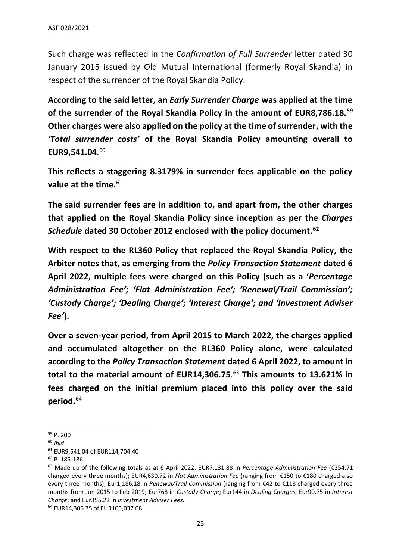Such charge was reflected in the *Confirmation of Full Surrender* letter dated 30 January 2015 issued by Old Mutual International (formerly Royal Skandia) in respect of the surrender of the Royal Skandia Policy.

**According to the said letter, an** *Early Surrender Charge* **was applied at the time of the surrender of the Royal Skandia Policy in the amount of EUR8,786.18.<sup>59</sup> Other charges were also applied on the policy at the time of surrender, with the**  *'Total surrender costs'* **of the Royal Skandia Policy amounting overall to EUR9,541.04**. 60

**This reflects a staggering 8.3179% in surrender fees applicable on the policy value at the time.**<sup>61</sup>

**The said surrender fees are in addition to, and apart from, the other charges that applied on the Royal Skandia Policy since inception as per the** *Charges Schedule* **dated 30 October 2012 enclosed with the policy document.<sup>62</sup>**

**With respect to the RL360 Policy that replaced the Royal Skandia Policy, the Arbiter notes that, as emerging from the** *Policy Transaction Statement* **dated 6 April 2022, multiple fees were charged on this Policy (such as a '***Percentage Administration Fee'; 'Flat Administration Fee'; 'Renewal/Trail Commission'; 'Custody Charge'; 'Dealing Charge'; 'Interest Charge'; and 'Investment Adviser Fee'***).** 

**Over a seven-year period, from April 2015 to March 2022, the charges applied and accumulated altogether on the RL360 Policy alone, were calculated according to the** *Policy Transaction Statement* **dated 6 April 2022, to amount in total to the material amount of EUR14,306.75**. <sup>63</sup> **This amounts to 13.621% in fees charged on the initial premium placed into this policy over the said period.** 64

<sup>59</sup> P. 200

<sup>60</sup> *Ibid.*

<sup>61</sup> EUR9,541.04 of EUR114,704.40

<sup>62</sup> P. 185-186

<sup>63</sup> Made up of the following totals as at 6 April 2022: EUR7,131.88 in *Percentage Administration Fee* (€254.71 charged every three months); EUR4,630.72 in *Flat Administration Fee* (ranging from €150 to €180 charged also every three months); Eur1,186.18 in *Renewal/Trail Commission* (ranging from €42 to €118 charged every three months from Jun 2015 to Feb 2019; Eur768 in *Custody Charge*; Eur144 in *Dealing Charges*; Eur90.75 in *Interest Charge*; and Eur355.22 in *Investment Adviser Fees*.

<sup>64</sup> EUR14,306.75 of EUR105,037.08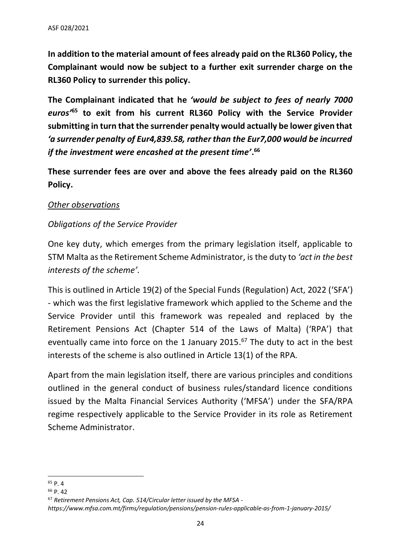**In addition to the material amount of fees already paid on the RL360 Policy, the Complainant would now be subject to a further exit surrender charge on the RL360 Policy to surrender this policy.**

**The Complainant indicated that he** *'would be subject to fees of nearly 7000 euros'***<sup>65</sup> to exit from his current RL360 Policy with the Service Provider submitting in turn that the surrender penalty would actually be lower given that** *'a surrender penalty of Eur4,839.58, rather than the Eur7,000 would be incurred if the investment were encashed at the present time'***. 66**

**These surrender fees are over and above the fees already paid on the RL360 Policy.**

#### *Other observations*

#### *Obligations of the Service Provider*

One key duty, which emerges from the primary legislation itself, applicable to STM Malta as the Retirement Scheme Administrator, is the duty to *'act in the best interests of the scheme'.* 

This is outlined in Article 19(2) of the Special Funds (Regulation) Act, 2022 ('SFA') - which was the first legislative framework which applied to the Scheme and the Service Provider until this framework was repealed and replaced by the Retirement Pensions Act (Chapter 514 of the Laws of Malta) ('RPA') that eventually came into force on the 1 January 2015.<sup>67</sup> The duty to act in the best interests of the scheme is also outlined in Article 13(1) of the RPA*.*

Apart from the main legislation itself, there are various principles and conditions outlined in the general conduct of business rules/standard licence conditions issued by the Malta Financial Services Authority ('MFSA') under the SFA/RPA regime respectively applicable to the Service Provider in its role as Retirement Scheme Administrator.

<sup>65</sup> P. 4

<sup>66</sup> P. 42

<sup>67</sup> *Retirement Pensions Act, Cap. 514/Circular letter issued by the MFSA -*

*https://www.mfsa.com.mt/firms/regulation/pensions/pension-rules-applicable-as-from-1-january-2015/*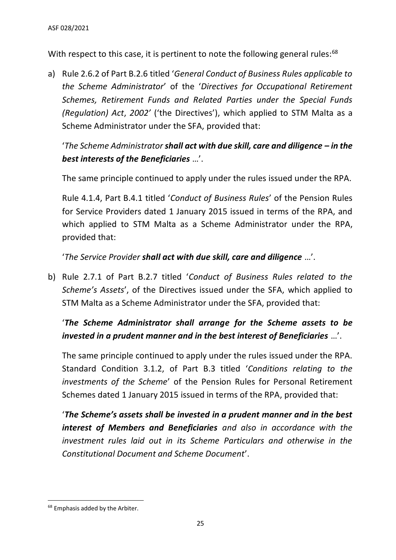With respect to this case, it is pertinent to note the following general rules:<sup>68</sup>

a) Rule 2.6.2 of Part B.2.6 titled '*General Conduct of Business Rules applicable to the Scheme Administrator*' of the '*Directives for Occupational Retirement Schemes, Retirement Funds and Related Parties under the Special Funds (Regulation) Act*, *2002'* ('the Directives'), which applied to STM Malta as a Scheme Administrator under the SFA, provided that:

'*The Scheme Administrator shall act with due skill, care and diligence – in the best interests of the Beneficiaries* …'.

The same principle continued to apply under the rules issued under the RPA.

Rule 4.1.4, Part B.4.1 titled '*Conduct of Business Rules*' of the Pension Rules for Service Providers dated 1 January 2015 issued in terms of the RPA, and which applied to STM Malta as a Scheme Administrator under the RPA, provided that:

'*The Service Provider shall act with due skill, care and diligence* …'.

b) Rule 2.7.1 of Part B.2.7 titled '*Conduct of Business Rules related to the Scheme's Assets*', of the Directives issued under the SFA, which applied to STM Malta as a Scheme Administrator under the SFA, provided that:

# '*The Scheme Administrator shall arrange for the Scheme assets to be invested in a prudent manner and in the best interest of Beneficiaries* …'.

The same principle continued to apply under the rules issued under the RPA. Standard Condition 3.1.2, of Part B.3 titled '*Conditions relating to the investments of the Scheme*' of the Pension Rules for Personal Retirement Schemes dated 1 January 2015 issued in terms of the RPA, provided that:

'*The Scheme's assets shall be invested in a prudent manner and in the best interest of Members and Beneficiaries and also in accordance with the investment rules laid out in its Scheme Particulars and otherwise in the Constitutional Document and Scheme Document*'.

<sup>&</sup>lt;sup>68</sup> Emphasis added by the Arbiter.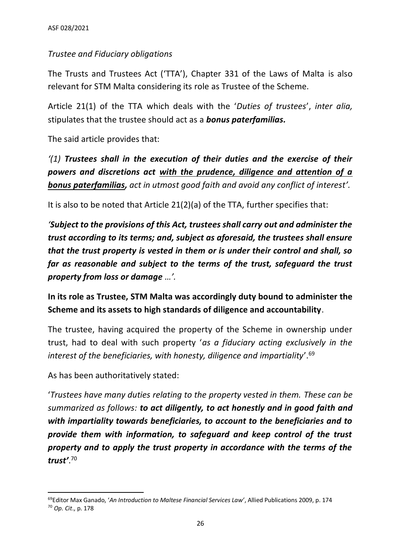## *Trustee and Fiduciary obligations*

The Trusts and Trustees Act ('TTA'), Chapter 331 of the Laws of Malta is also relevant for STM Malta considering its role as Trustee of the Scheme.

Article 21(1) of the TTA which deals with the '*Duties of trustees*', *inter alia,* stipulates that the trustee should act as a *bonus paterfamilias.*

The said article provides that:

*'(1) Trustees shall in the execution of their duties and the exercise of their powers and discretions act with the prudence, diligence and attention of a bonus paterfamilias, act in utmost good faith and avoid any conflict of interest'.* 

It is also to be noted that Article 21(2)(a) of the TTA, further specifies that:

*'Subject to the provisions of this Act, trustees shall carry out and administer the trust according to its terms; and, subject as aforesaid, the trustees shall ensure that the trust property is vested in them or is under their control and shall, so far as reasonable and subject to the terms of the trust, safeguard the trust property from loss or damage …'.* 

**In its role as Trustee, STM Malta was accordingly duty bound to administer the Scheme and its assets to high standards of diligence and accountability**.

The trustee, having acquired the property of the Scheme in ownership under trust, had to deal with such property '*as a fiduciary acting exclusively in the interest of the beneficiaries, with honesty, diligence and impartiality*'.<sup>69</sup>

As has been authoritatively stated:

'*Trustees have many duties relating to the property vested in them. These can be summarized as follows: to act diligently, to act honestly and in good faith and with impartiality towards beneficiaries, to account to the beneficiaries and to provide them with information, to safeguard and keep control of the trust property and to apply the trust property in accordance with the terms of the trust'*. 70

<sup>69</sup>Editor Max Ganado, '*An Introduction to Maltese Financial Services Law'*, Allied Publications 2009, p. 174 <sup>70</sup> *Op. Cit*., p. 178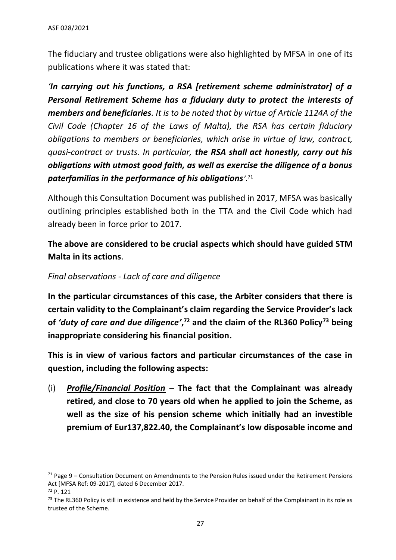The fiduciary and trustee obligations were also highlighted by MFSA in one of its publications where it was stated that:

*'In carrying out his functions, a RSA [retirement scheme administrator] of a Personal Retirement Scheme has a fiduciary duty to protect the interests of members and beneficiaries. It is to be noted that by virtue of Article 1124A of the Civil Code (Chapter 16 of the Laws of Malta), the RSA has certain fiduciary obligations to members or beneficiaries, which arise in virtue of law, contract, quasi-contract or trusts. In particular, the RSA shall act honestly, carry out his obligations with utmost good faith, as well as exercise the diligence of a bonus paterfamilias in the performance of his obligations'.*<sup>71</sup>

Although this Consultation Document was published in 2017, MFSA was basically outlining principles established both in the TTA and the Civil Code which had already been in force prior to 2017.

**The above are considered to be crucial aspects which should have guided STM Malta in its actions**.

## *Final observations - Lack of care and diligence*

**In the particular circumstances of this case, the Arbiter considers that there is certain validity to the Complainant's claim regarding the Service Provider's lack of** *'duty of care and due diligence'***, <sup>72</sup> and the claim of the RL360 Policy<sup>73</sup> being inappropriate considering his financial position.**

**This is in view of various factors and particular circumstances of the case in question, including the following aspects:**

(i) *Profile/Financial Position* – **The fact that the Complainant was already retired, and close to 70 years old when he applied to join the Scheme, as well as the size of his pension scheme which initially had an investible premium of Eur137,822.40, the Complainant's low disposable income and** 

 $71$  Page 9 – Consultation Document on Amendments to the Pension Rules issued under the Retirement Pensions Act [MFSA Ref: 09-2017], dated 6 December 2017.

<sup>72</sup> P. 121

 $<sup>73</sup>$  The RL360 Policy is still in existence and held by the Service Provider on behalf of the Complainant in its role as</sup> trustee of the Scheme.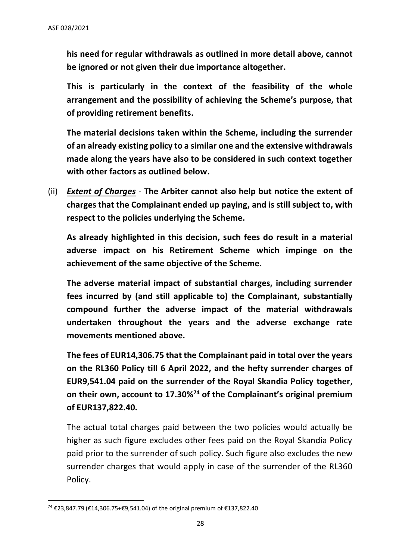**his need for regular withdrawals as outlined in more detail above, cannot be ignored or not given their due importance altogether.**

**This is particularly in the context of the feasibility of the whole arrangement and the possibility of achieving the Scheme's purpose, that of providing retirement benefits.**

**The material decisions taken within the Scheme, including the surrender of an already existing policy to a similar one and the extensive withdrawals made along the years have also to be considered in such context together with other factors as outlined below.**

(ii) *Extent of Charges -* **The Arbiter cannot also help but notice the extent of charges that the Complainant ended up paying, and is still subject to, with respect to the policies underlying the Scheme.**

**As already highlighted in this decision, such fees do result in a material adverse impact on his Retirement Scheme which impinge on the achievement of the same objective of the Scheme.** 

**The adverse material impact of substantial charges, including surrender fees incurred by (and still applicable to) the Complainant, substantially compound further the adverse impact of the material withdrawals undertaken throughout the years and the adverse exchange rate movements mentioned above.**

**The fees of EUR14,306.75 that the Complainant paid in total over the years on the RL360 Policy till 6 April 2022, and the hefty surrender charges of EUR9,541.04 paid on the surrender of the Royal Skandia Policy together, on their own, account to 17.30%<sup>74</sup> of the Complainant's original premium of EUR137,822.40.** 

The actual total charges paid between the two policies would actually be higher as such figure excludes other fees paid on the Royal Skandia Policy paid prior to the surrender of such policy. Such figure also excludes the new surrender charges that would apply in case of the surrender of the RL360 Policy.

<sup>74</sup> €23,847.79 (€14,306.75+€9,541.04) of the original premium of €137,822.40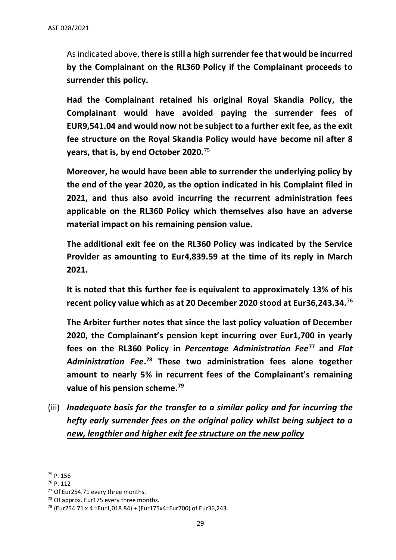As indicated above, **there is still a high surrender fee that would be incurred by the Complainant on the RL360 Policy if the Complainant proceeds to surrender this policy.**

**Had the Complainant retained his original Royal Skandia Policy, the Complainant would have avoided paying the surrender fees of EUR9,541.04 and would now not be subject to a further exit fee, as the exit fee structure on the Royal Skandia Policy would have become nil after 8 years, that is, by end October 2020.**<sup>75</sup>

**Moreover, he would have been able to surrender the underlying policy by the end of the year 2020, as the option indicated in his Complaint filed in 2021, and thus also avoid incurring the recurrent administration fees applicable on the RL360 Policy which themselves also have an adverse material impact on his remaining pension value.**

**The additional exit fee on the RL360 Policy was indicated by the Service Provider as amounting to Eur4,839.59 at the time of its reply in March 2021.**

**It is noted that this further fee is equivalent to approximately 13% of his recent policy value which as at 20 December 2020 stood at Eur36,243.34.**<sup>76</sup>

**The Arbiter further notes that since the last policy valuation of December 2020, the Complainant's pension kept incurring over Eur1,700 in yearly fees on the RL360 Policy in** *Percentage Administration Fee***<sup>77</sup> and** *Flat Administration Fee***. <sup>78</sup> These two administration fees alone together amount to nearly 5% in recurrent fees of the Complainant's remaining value of his pension scheme. 79**

(iii) *Inadequate basis for the transfer to a similar policy and for incurring the hefty early surrender fees on the original policy whilst being subject to a new, lengthier and higher exit fee structure on the new policy*

<sup>75</sup> P. 156

<sup>76</sup> P. 112

<sup>77</sup> Of Eur254.71 every three months.

 $78$  Of approx. Eur175 every three months.

 $79$  (Eur254.71 x 4 = Eur1,018.84) + (Eur175x4 = Eur700) of Eur36,243.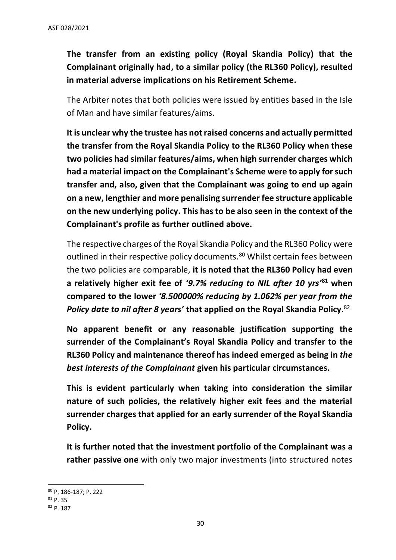**The transfer from an existing policy (Royal Skandia Policy) that the Complainant originally had, to a similar policy (the RL360 Policy), resulted in material adverse implications on his Retirement Scheme.** 

The Arbiter notes that both policies were issued by entities based in the Isle of Man and have similar features/aims.

**It is unclear why the trustee has not raised concerns and actually permitted the transfer from the Royal Skandia Policy to the RL360 Policy when these two policies had similar features/aims, when high surrender charges which had a material impact on the Complainant's Scheme were to apply for such transfer and, also, given that the Complainant was going to end up again on a new, lengthier and more penalising surrender fee structure applicable on the new underlying policy. This has to be also seen in the context of the Complainant's profile as further outlined above.**

The respective charges of the Royal Skandia Policy and the RL360 Policy were outlined in their respective policy documents.<sup>80</sup> Whilst certain fees between the two policies are comparable, **it is noted that the RL360 Policy had even a relatively higher exit fee of** *'9.7% reducing to NIL after 10 yrs'***<sup>81</sup> when compared to the lower** *'8.500000% reducing by 1.062% per year from the Policy date to nil after 8 years'* **that applied on the Royal Skandia Policy**. 82

**No apparent benefit or any reasonable justification supporting the surrender of the Complainant's Royal Skandia Policy and transfer to the RL360 Policy and maintenance thereof has indeed emerged as being in** *the best interests of the Complainant* **given his particular circumstances.** 

**This is evident particularly when taking into consideration the similar nature of such policies, the relatively higher exit fees and the material surrender charges that applied for an early surrender of the Royal Skandia Policy.** 

**It is further noted that the investment portfolio of the Complainant was a rather passive one** with only two major investments (into structured notes

<sup>80</sup> P. 186-187; P. 222

<sup>81</sup> P. 35

<sup>82</sup> P. 187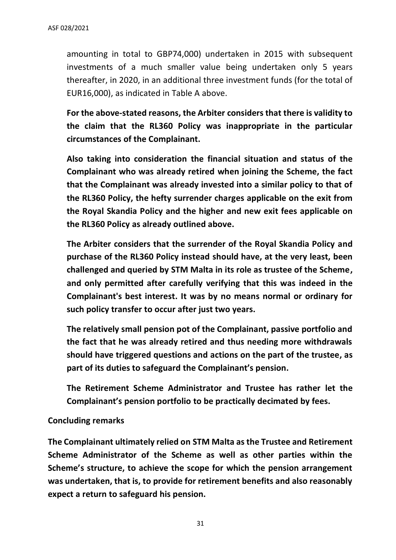amounting in total to GBP74,000) undertaken in 2015 with subsequent investments of a much smaller value being undertaken only 5 years thereafter, in 2020, in an additional three investment funds (for the total of EUR16,000), as indicated in Table A above.

**For the above-stated reasons, the Arbiter considers that there is validity to the claim that the RL360 Policy was inappropriate in the particular circumstances of the Complainant.**

**Also taking into consideration the financial situation and status of the Complainant who was already retired when joining the Scheme, the fact that the Complainant was already invested into a similar policy to that of the RL360 Policy, the hefty surrender charges applicable on the exit from the Royal Skandia Policy and the higher and new exit fees applicable on the RL360 Policy as already outlined above.**

**The Arbiter considers that the surrender of the Royal Skandia Policy and purchase of the RL360 Policy instead should have, at the very least, been challenged and queried by STM Malta in its role as trustee of the Scheme, and only permitted after carefully verifying that this was indeed in the Complainant's best interest. It was by no means normal or ordinary for such policy transfer to occur after just two years.** 

**The relatively small pension pot of the Complainant, passive portfolio and the fact that he was already retired and thus needing more withdrawals should have triggered questions and actions on the part of the trustee, as part of its duties to safeguard the Complainant's pension.** 

**The Retirement Scheme Administrator and Trustee has rather let the Complainant's pension portfolio to be practically decimated by fees.** 

#### **Concluding remarks**

**The Complainant ultimately relied on STM Malta as the Trustee and Retirement Scheme Administrator of the Scheme as well as other parties within the Scheme's structure, to achieve the scope for which the pension arrangement was undertaken, that is, to provide for retirement benefits and also reasonably expect a return to safeguard his pension.**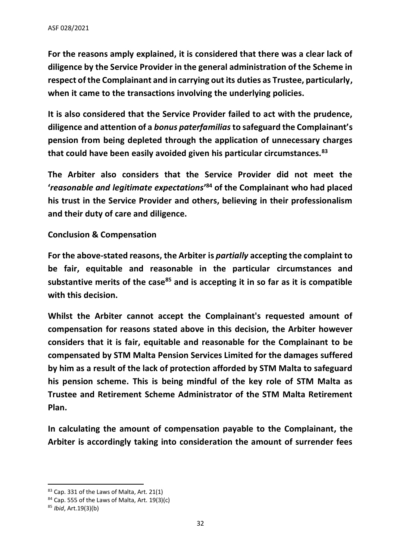**For the reasons amply explained, it is considered that there was a clear lack of diligence by the Service Provider in the general administration of the Scheme in respect of the Complainant and in carrying out its duties as Trustee, particularly, when it came to the transactions involving the underlying policies.** 

**It is also considered that the Service Provider failed to act with the prudence, diligence and attention of a** *bonus paterfamilias***to safeguard the Complainant's pension from being depleted through the application of unnecessary charges that could have been easily avoided given his particular circumstances***.* **83**

**The Arbiter also considers that the Service Provider did not meet the '***reasonable and legitimate expectations***' <sup>84</sup> of the Complainant who had placed his trust in the Service Provider and others, believing in their professionalism and their duty of care and diligence.** 

**Conclusion & Compensation**

**For the above-stated reasons, the Arbiter is** *partially* **accepting the complaint to be fair, equitable and reasonable in the particular circumstances and substantive merits of the case<sup>85</sup> and is accepting it in so far as it is compatible with this decision.** 

**Whilst the Arbiter cannot accept the Complainant's requested amount of compensation for reasons stated above in this decision, the Arbiter however considers that it is fair, equitable and reasonable for the Complainant to be compensated by STM Malta Pension Services Limited for the damages suffered by him as a result of the lack of protection afforded by STM Malta to safeguard his pension scheme. This is being mindful of the key role of STM Malta as Trustee and Retirement Scheme Administrator of the STM Malta Retirement Plan.**

**In calculating the amount of compensation payable to the Complainant, the Arbiter is accordingly taking into consideration the amount of surrender fees** 

<sup>83</sup> Cap. 331 of the Laws of Malta, Art. 21(1)

 $84$  Cap. 555 of the Laws of Malta, Art. 19(3)(c)

<sup>85</sup> *Ibid*, Art.19(3)(b)